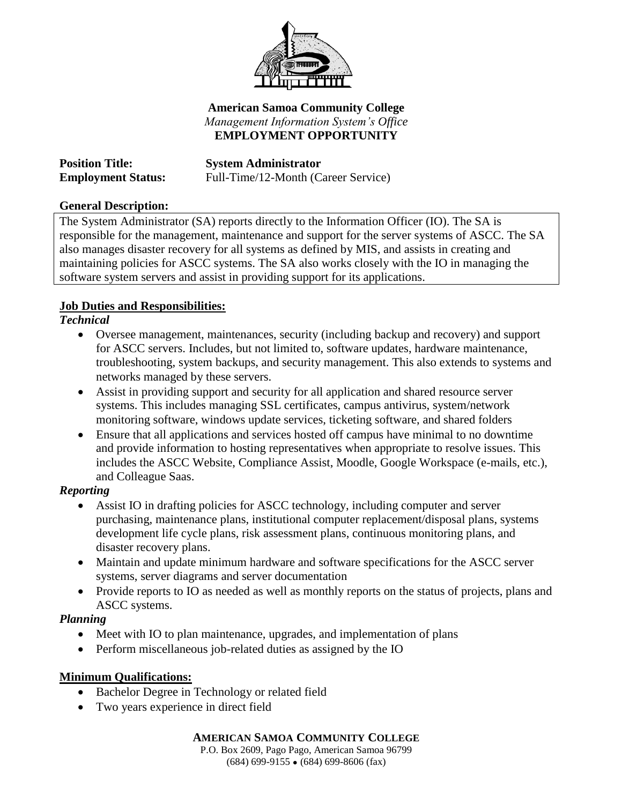

### **American Samoa Community College** *Management Information System's Office* **EMPLOYMENT OPPORTUNITY**

**Position Title: System Administrator Employment Status:** Full-Time/12-Month (Career Service)

### **General Description:**

The System Administrator (SA) reports directly to the Information Officer (IO). The SA is responsible for the management, maintenance and support for the server systems of ASCC. The SA also manages disaster recovery for all systems as defined by MIS, and assists in creating and maintaining policies for ASCC systems. The SA also works closely with the IO in managing the software system servers and assist in providing support for its applications.

# **Job Duties and Responsibilities:**

## *Technical*

- Oversee management, maintenances, security (including backup and recovery) and support for ASCC servers. Includes, but not limited to, software updates, hardware maintenance, troubleshooting, system backups, and security management. This also extends to systems and networks managed by these servers.
- Assist in providing support and security for all application and shared resource server systems. This includes managing SSL certificates, campus antivirus, system/network monitoring software, windows update services, ticketing software, and shared folders
- Ensure that all applications and services hosted off campus have minimal to no downtime and provide information to hosting representatives when appropriate to resolve issues. This includes the ASCC Website, Compliance Assist, Moodle, Google Workspace (e-mails, etc.), and Colleague Saas.

### *Reporting*

- Assist IO in drafting policies for ASCC technology, including computer and server purchasing, maintenance plans, institutional computer replacement/disposal plans, systems development life cycle plans, risk assessment plans, continuous monitoring plans, and disaster recovery plans.
- Maintain and update minimum hardware and software specifications for the ASCC server systems, server diagrams and server documentation
- Provide reports to IO as needed as well as monthly reports on the status of projects, plans and ASCC systems.

### *Planning*

- Meet with IO to plan maintenance, upgrades, and implementation of plans
- Perform miscellaneous job-related duties as assigned by the IO

### **Minimum Qualifications:**

- Bachelor Degree in Technology or related field
- Two years experience in direct field

### **AMERICAN SAMOA COMMUNITY COLLEGE**

P.O. Box 2609, Pago Pago, American Samoa 96799  $(684)$  699-9155  $\bullet$  (684) 699-8606 (fax)